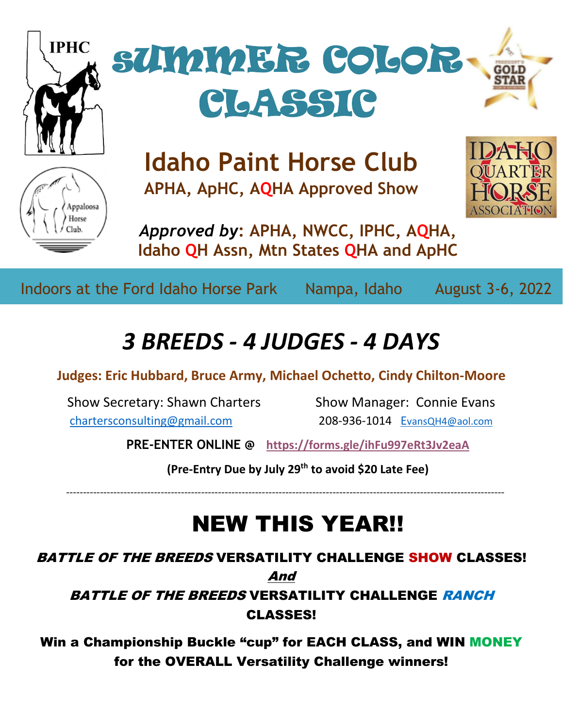

Indoors at the Ford Idaho Horse Park Nampa, Idaho August 3-6, 2022

# *3 BREEDS - 4 JUDGES - 4 DAYS*

# **Judges: Eric Hubbard, Bruce Army, Michael Ochetto, Cindy Chilton-Moore**

Show Secretary: Shawn Charters Show Manager: Connie Evans [chartersconsulting@gmail.com](mailto:chartersconsulting@gmail.com) 208-936-1014 E[vansQH4@aol.com](mailto:EvansQH4@aol.com)

**PRE-ENTER ONLINE @ <https://forms.gle/ihFu997eRt3Jv2eaA>**

**(Pre-Entry Due by July 29th to avoid \$20 Late Fee)**

----------------------------------------------------------------------------------------------------------------------------------

# NEW THIS YEAR!!

BATTLE OF THE BREEDS VERSATILITY CHALLENGE SHOW CLASSES! And

BATTLE OF THE BREEDS VERSATILITY CHALLENGE RANCH CLASSES!

Win a Championship Buckle "cup" for EACH CLASS, and WIN MONEY for the OVERALL Versatility Challenge winners!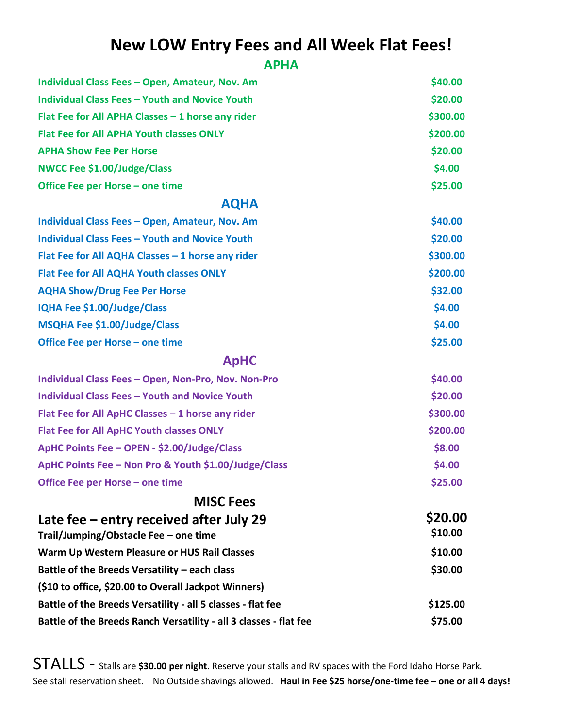# **New LOW Entry Fees and All Week Flat Fees!**

## **APHA**

| Individual Class Fees - Open, Amateur, Nov. Am                                   | \$40.00            |
|----------------------------------------------------------------------------------|--------------------|
| <b>Individual Class Fees - Youth and Novice Youth</b>                            | \$20.00            |
| Flat Fee for All APHA Classes - 1 horse any rider                                | \$300.00           |
| <b>Flat Fee for All APHA Youth classes ONLY</b>                                  | \$200.00           |
| <b>APHA Show Fee Per Horse</b>                                                   | \$20.00            |
| <b>NWCC Fee \$1.00/Judge/Class</b>                                               | \$4.00             |
| Office Fee per Horse - one time                                                  | \$25.00            |
| <b>AQHA</b>                                                                      |                    |
| Individual Class Fees - Open, Amateur, Nov. Am                                   | \$40.00            |
| <b>Individual Class Fees - Youth and Novice Youth</b>                            | \$20.00            |
| Flat Fee for All AQHA Classes - 1 horse any rider                                | \$300.00           |
| Flat Fee for All AQHA Youth classes ONLY                                         | \$200.00           |
| <b>AQHA Show/Drug Fee Per Horse</b>                                              | \$32.00            |
| <b>IQHA Fee \$1.00/Judge/Class</b>                                               | \$4.00             |
| MSQHA Fee \$1.00/Judge/Class                                                     | \$4.00             |
| Office Fee per Horse - one time                                                  | \$25.00            |
| <b>ApHC</b>                                                                      |                    |
| Individual Class Fees - Open, Non-Pro, Nov. Non-Pro                              | \$40.00            |
| <b>Individual Class Fees - Youth and Novice Youth</b>                            | \$20.00            |
| Flat Fee for All ApHC Classes - 1 horse any rider                                | \$300.00           |
| <b>Flat Fee for All ApHC Youth classes ONLY</b>                                  | \$200.00           |
| ApHC Points Fee - OPEN - \$2.00/Judge/Class                                      | \$8.00             |
| ApHC Points Fee - Non Pro & Youth \$1.00/Judge/Class                             | \$4.00             |
| Office Fee per Horse - one time                                                  | \$25.00            |
| <b>MISC Fees</b>                                                                 |                    |
| Late fee – entry received after July 29<br>Trail/Jumping/Obstacle Fee - one time | \$20.00<br>\$10.00 |
| Warm Up Western Pleasure or HUS Rail Classes                                     | \$10.00            |
| Battle of the Breeds Versatility - each class                                    | \$30.00            |
| (\$10 to office, \$20.00 to Overall Jackpot Winners)                             |                    |
| Battle of the Breeds Versatility - all 5 classes - flat fee                      | \$125.00           |
| Battle of the Breeds Ranch Versatility - all 3 classes - flat fee                | \$75.00            |

STALLS - Stalls are **\$30.00 per night**. Reserve your stalls and RV spaces with the Ford Idaho Horse Park. See stall reservation sheet. No Outside shavings allowed. **Haul in Fee \$25 horse/one-time fee – one or all 4 days!**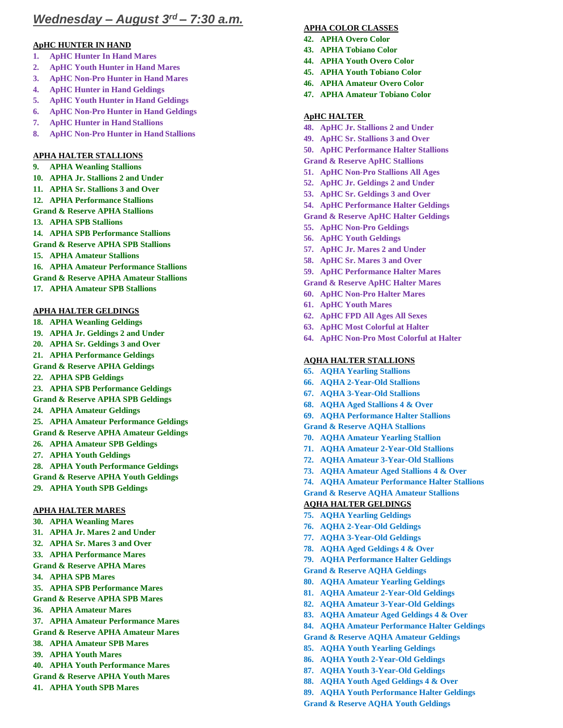## *Wednesday – August 3rd – 7:30 a.m.*

## **ApHC HUNTER IN HAND**

- **1. ApHC Hunter In Hand Mares**
- **2. ApHC Youth Hunter in Hand Mares**
- **3. ApHC Non-Pro Hunter in Hand Mares**
- **4. ApHC Hunter in Hand Geldings**
- **5. ApHC Youth Hunter in Hand Geldings**
- **6. ApHC Non-Pro Hunter in Hand Geldings**
- **7. ApHC Hunter in Hand Stallions**
- **8. ApHC Non-Pro Hunter in Hand Stallions**

## **APHA HALTER STALLIONS**

- **9. APHA Weanling Stallions**
- **10. APHA Jr. Stallions 2 and Under**
- **11. APHA Sr. Stallions 3 and Over**
- **12. APHA Performance Stallions**
- **Grand & Reserve APHA Stallions**
- **13. APHA SPB Stallions**
- **14. APHA SPB Performance Stallions**
- **Grand & Reserve APHA SPB Stallions**
- **15. APHA Amateur Stallions**
- **16. APHA Amateur Performance Stallions**
- **Grand & Reserve APHA Amateur Stallions**
- **17. APHA Amateur SPB Stallions**

## **APHA HALTER GELDINGS**

- **18. APHA Weanling Geldings**
- **19. APHA Jr. Geldings 2 and Under**
- **20. APHA Sr. Geldings 3 and Over**
- **21. APHA Performance Geldings**
- **Grand & Reserve APHA Geldings**
- **22. APHA SPB Geldings**
- **23. APHA SPB Performance Geldings**
- **Grand & Reserve APHA SPB Geldings**
- **24. APHA Amateur Geldings**
- **25. APHA Amateur Performance Geldings Grand & Reserve APHA Amateur Geldings**
- **26. APHA Amateur SPB Geldings**
- **27. APHA Youth Geldings**
- **28. APHA Youth Performance Geldings Grand & Reserve APHA Youth Geldings**
- **29. APHA Youth SPB Geldings**

## **APHA HALTER MARES**

**30. APHA Weanling Mares 31. APHA Jr. Mares 2 and Under 32. APHA Sr. Mares 3 and Over 33. APHA Performance Mares Grand & Reserve APHA Mares 34. APHA SPB Mares 35. APHA SPB Performance Mares Grand & Reserve APHA SPB Mares 36. APHA Amateur Mares 37. APHA Amateur Performance Mares Grand & Reserve APHA Amateur Mares 38. APHA Amateur SPB Mares 39. APHA Youth Mares 40. APHA Youth Performance Mares Grand & Reserve APHA Youth Mares 41. APHA Youth SPB Mares**

#### **APHA COLOR CLASSES**

- **42. APHA Overo Color**
- **43. APHA Tobiano Color**
- **44. APHA Youth Overo Color**
- **45. APHA Youth Tobiano Color**
- **46. APHA Amateur Overo Color**
- **47. APHA Amateur Tobiano Color**

## **ApHC HALTER**

- **48. ApHC Jr. Stallions 2 and Under**
- **49. ApHC Sr. Stallions 3 and Over**
- **50. ApHC Performance Halter Stallions**
- **Grand & Reserve ApHC Stallions**
- **51. ApHC Non-Pro Stallions All Ages**
- **52. ApHC Jr. Geldings 2 and Under**
- **53. ApHC Sr. Geldings 3 and Over**
- **54. ApHC Performance Halter Geldings**
- **Grand & Reserve ApHC Halter Geldings**
- **55. ApHC Non-Pro Geldings**
- **56. ApHC Youth Geldings**
- **57. ApHC Jr. Mares 2 and Under**
- **58. ApHC Sr. Mares 3 and Over**
- **59. ApHC Performance Halter Mares**
- **Grand & Reserve ApHC Halter Mares**
- **60. ApHC Non-Pro Halter Mares**
- **61. ApHC Youth Mares**
- **62. ApHC FPD All Ages All Sexes**
- **63. ApHC Most Colorful at Halter**
- **64. ApHC Non-Pro Most Colorful at Halter**

#### **AQHA HALTER STALLIONS**

- **65. AQHA Yearling Stallions**
- **66. AQHA 2-Year-Old Stallions**
- **67. AQHA 3-Year-Old Stallions**
- **68. AQHA Aged Stallions 4 & Over**
- **69. AQHA Performance Halter Stallions**
- **Grand & Reserve AQHA Stallions**
- **70. AQHA Amateur Yearling Stallion**
- **71. AQHA Amateur 2-Year-Old Stallions**
- **72. AQHA Amateur 3-Year-Old Stallions**
- **73. AQHA Amateur Aged Stallions 4 & Over**
- **74. AQHA Amateur Performance Halter Stallions**
- **Grand & Reserve AQHA Amateur Stallions**

#### **AQHA HALTER GELDINGS**

- **75. AQHA Yearling Geldings**
- **76. AQHA 2-Year-Old Geldings**
- **77. AQHA 3-Year-Old Geldings**
- **78. AQHA Aged Geldings 4 & Over**
- **79. AQHA Performance Halter Geldings**
- **Grand & Reserve AQHA Geldings**
- **80. AQHA Amateur Yearling Geldings**
- **81. AQHA Amateur 2-Year-Old Geldings**
- **82. AQHA Amateur 3-Year-Old Geldings**
- **83. AQHA Amateur Aged Geldings 4 & Over**
- **84. AQHA Amateur Performance Halter Geldings**
- **Grand & Reserve AQHA Amateur Geldings**
- **85. AQHA Youth Yearling Geldings**
- **86. AQHA Youth 2-Year-Old Geldings**
- **87. AQHA Youth 3-Year-Old Geldings**
- **88. AQHA Youth Aged Geldings 4 & Over**
- **89. AQHA Youth Performance Halter Geldings**
- **Grand & Reserve AQHA Youth Geldings**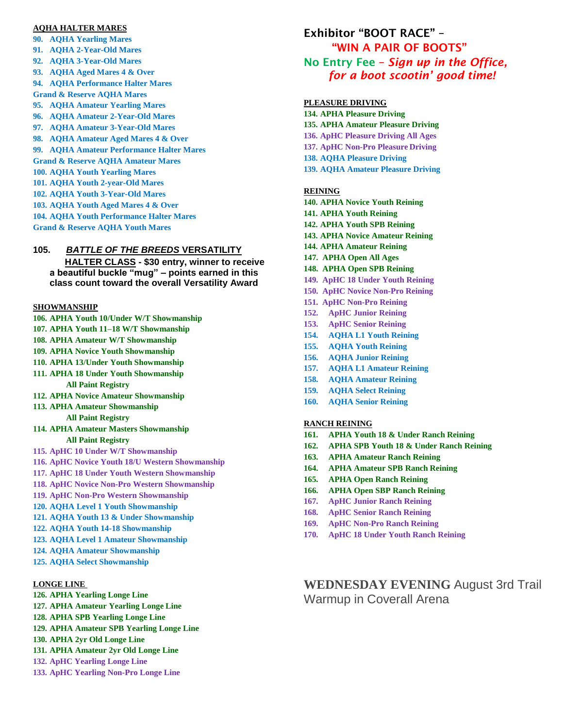#### **AQHA HALTER MARES**

**90. AQHA Yearling Mares 91. AQHA 2-Year-Old Mares 92. AQHA 3-Year-Old Mares 93. AQHA Aged Mares 4 & Over 94. AQHA Performance Halter Mares Grand & Reserve AQHA Mares 95. AQHA Amateur Yearling Mares 96. AQHA Amateur 2-Year-Old Mares 97. AQHA Amateur 3-Year-Old Mares 98. AQHA Amateur Aged Mares 4 & Over 99. AQHA Amateur Performance Halter Mares Grand & Reserve AQHA Amateur Mares 100. AQHA Youth Yearling Mares 101. AQHA Youth 2-year-Old Mares 102. AQHA Youth 3-Year-Old Mares 103. AQHA Youth Aged Mares 4 & Over 104. AQHA Youth Performance Halter Mares Grand & Reserve AQHA Youth Mares**

## **105.** *BATTLE OF THE BREEDS* **VERSATILITY**

 **HALTER CLASS - \$30 entry, winner to receive a beautiful buckle "mug" – points earned in this class count toward the overall Versatility Award** 

### **SHOWMANSHIP**

- **106. APHA Youth 10/Under W/T Showmanship**
- **107. APHA Youth 11–18 W/T Showmanship**
- **108. APHA Amateur W/T Showmanship**
- **109. APHA Novice Youth Showmanship**
- **110. APHA 13/Under Youth Showmanship**
- **111. APHA 18 Under Youth Showmanship All Paint Registry**
- **112. APHA Novice Amateur Showmanship**
- **113. APHA Amateur Showmanship**

## **All Paint Registry**

- **114. APHA Amateur Masters Showmanship All Paint Registry**
- **115. ApHC 10 Under W/T Showmanship**
- **116. ApHC Novice Youth 18/U Western Showmanship**
- **117. ApHC 18 Under Youth Western Showmanship**
- **118. ApHC Novice Non-Pro Western Showmanship**
- **119. ApHC Non-Pro Western Showmanship**
- **120. AQHA Level 1 Youth Showmanship**
- **121. AQHA Youth 13 & Under Showmanship**
- **122. AQHA Youth 14-18 Showmanship**
- **123. AQHA Level 1 Amateur Showmanship**
- **124. AQHA Amateur Showmanship**
- **125. AQHA Select Showmanship**

#### **LONGE LINE**

- **126. APHA Yearling Longe Line**
- **127. APHA Amateur Yearling Longe Line**
- **128. APHA SPB Yearling Longe Line**
- **129. APHA Amateur SPB Yearling Longe Line**
- **130. APHA 2yr Old Longe Line**
- **131. APHA Amateur 2yr Old Longe Line**
- **132. ApHC Yearling Longe Line**
- **133. ApHC Yearling Non-Pro Longe Line**

## Exhibitor "BOOT RACE" – "WIN A PAIR OF BOOTS" No Entry Fee – *Sign up in the Office, for a boot scootin' good time!*

#### **PLEASURE DRIVING**

**134. APHA Pleasure Driving 135. APHA Amateur Pleasure Driving 136. ApHC Pleasure Driving All Ages 137. ApHC Non-Pro Pleasure Driving 138. AQHA Pleasure Driving 139. AQHA Amateur Pleasure Driving**

#### **REINING**

- **140. APHA Novice Youth Reining**
- **141. APHA Youth Reining**
- **142. APHA Youth SPB Reining**
- **143. APHA Novice Amateur Reining**
- **144. APHA Amateur Reining**
- **147. APHA Open All Ages**
- **148. APHA Open SPB Reining**
- **149. ApHC 18 Under Youth Reining**
- **150. ApHC Novice Non-Pro Reining**
- **151. ApHC Non-Pro Reining**
- **152. ApHC Junior Reining**
- **153. ApHC Senior Reining**
- **154. AQHA L1 Youth Reining**
- **155. AQHA Youth Reining**
- **156. AQHA Junior Reining**
- **157. AQHA L1 Amateur Reining**
- **158. AQHA Amateur Reining**
- **159. AQHA Select Reining**
- **160. AQHA Senior Reining**

## **RANCH REINING**

- **161. APHA Youth 18 & Under Ranch Reining**
- **162. APHA SPB Youth 18 & Under Ranch Reining**
- **163. APHA Amateur Ranch Reining**
- **164. APHA Amateur SPB Ranch Reining**
- **165. APHA Open Ranch Reining**
- **166. APHA Open SBP Ranch Reining**
- **167. ApHC Junior Ranch Reining**
- **168. ApHC Senior Ranch Reining**
- **169. ApHC Non-Pro Ranch Reining**
- **170. ApHC 18 Under Youth Ranch Reining**

## **WEDNESDAY EVENING** August 3rd Trail Warmup in Coverall Arena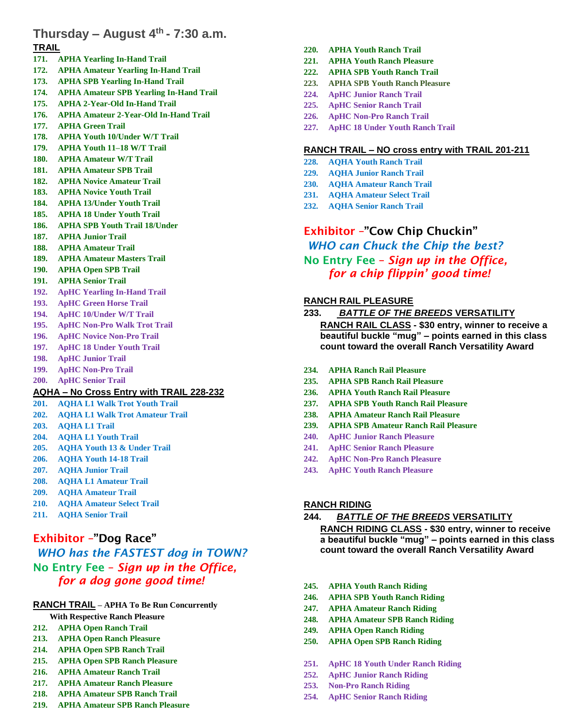## **Thursday – August 4th - 7:30 a.m.**

## **TRAIL**

- **171. APHA Yearling In-Hand Trail**
- **172. APHA Amateur Yearling In-Hand Trail**
- **173. APHA SPB Yearling In-Hand Trail**
- **174. APHA Amateur SPB Yearling In-Hand Trail**
- **175. APHA 2-Year-Old In-Hand Trail**
- **176. APHA Amateur 2-Year-Old In-Hand Trail**
- **177. APHA Green Trail**
- **178. APHA Youth 10/Under W/T Trail**
- **179. APHA Youth 11–18 W/T Trail**
- **180. APHA Amateur W/T Trail**
- **181. APHA Amateur SPB Trail**
- **182. APHA Novice Amateur Trail 183. APHA Novice Youth Trail**
- **184. APHA 13/Under Youth Trail**
- **185. APHA 18 Under Youth Trail**
- **186. APHA SPB Youth Trail 18/Under**
- **187. APHA Junior Trail**
- **188. APHA Amateur Trail**
- **189. APHA Amateur Masters Trail**
- **190. APHA Open SPB Trail**
- **191. APHA Senior Trail**
- **192. ApHC Yearling In-Hand Trail**
- **193. ApHC Green Horse Trail**
- **194. ApHC 10/Under W/T Trail**
- **195. ApHC Non-Pro Walk Trot Trail**
- **196. ApHC Novice Non-Pro Trail**
- **197. ApHC 18 Under Youth Trail**
- **198. ApHC Junior Trail**
- **199. ApHC Non-Pro Trail**
- **200. ApHC Senior Trail**

## **AQHA – No Cross Entry with TRAIL 228-232**

- **201. AQHA L1 Walk Trot Youth Trail**
- **202. AQHA L1 Walk Trot Amateur Trail**
- **203. AQHA L1 Trail**
- **204. AQHA L1 Youth Trail**
- **205. AQHA Youth 13 & Under Trail**
- **206. AQHA Youth 14-18 Trail**
- **207. AQHA Junior Trail**
- **208. AQHA L1 Amateur Trail**
- **209. AQHA Amateur Trail**
- **210. AQHA Amateur Select Trail**
- **211. AQHA Senior Trail**

## Exhibitor –"Dog Race"

*WHO has the FASTEST dog in TOWN?* No Entry Fee – *Sign up in the Office, for a dog gone good time!* 

## **RANCH TRAIL – APHA To Be Run Concurrently**

- **With Respective Ranch Pleasure**
- **212. APHA Open Ranch Trail**
- **213. APHA Open Ranch Pleasure**
- **214. APHA Open SPB Ranch Trail**
- **215. APHA Open SPB Ranch Pleasure**
- **216. APHA Amateur Ranch Trail**
- **217. APHA Amateur Ranch Pleasure**
- **218. APHA Amateur SPB Ranch Trail**
- **219. APHA Amateur SPB Ranch Pleasure**
- **220. APHA Youth Ranch Trail**
- **221. APHA Youth Ranch Pleasure**
- **222. APHA SPB Youth Ranch Trail**
- **223. APHA SPB Youth Ranch Pleasure**
- **224. ApHC Junior Ranch Trail**
- **225. ApHC Senior Ranch Trail**
- **226. ApHC Non-Pro Ranch Trail**
- **227. ApHC 18 Under Youth Ranch Trail**

## **RANCH TRAIL – NO cross entry with TRAIL 201-211**

- **228. AQHA Youth Ranch Trail**
- **229. AQHA Junior Ranch Trail**
- **230. AQHA Amateur Ranch Trail**
- **231. AQHA Amateur Select Trail**
- **232. AQHA Senior Ranch Trail**

## Exhibitor –"Cow Chip Chuckin"

## *WHO can Chuck the Chip the best?* No Entry Fee – *Sign up in the Office, for a chip flippin' good time!*

## **RANCH RAIL PLEASURE**

- **233.** *BATTLE OF THE BREEDS* **VERSATILITY RANCH RAIL CLASS - \$30 entry, winner to receive a beautiful buckle "mug" – points earned in this class count toward the overall Ranch Versatility Award**
- **234. APHA Ranch Rail Pleasure**
- **235. APHA SPB Ranch Rail Pleasure**
- **236. APHA Youth Ranch Rail Pleasure**
- **237. APHA SPB Youth Ranch Rail Pleasure**
- **238. APHA Amateur Ranch Rail Pleasure**
- **239. APHA SPB Amateur Ranch Rail Pleasure**
- **240. ApHC Junior Ranch Pleasure**
- **241. ApHC Senior Ranch Pleasure**
- **242. ApHC Non-Pro Ranch Pleasure**
- **243. ApHC Youth Ranch Pleasure**

## **RANCH RIDING**

## **244.** *BATTLE OF THE BREEDS* **VERSATILITY**

**RANCH RIDING CLASS - \$30 entry, winner to receive a beautiful buckle "mug" – points earned in this class count toward the overall Ranch Versatility Award**

- **245. APHA Youth Ranch Riding**
- **246. APHA SPB Youth Ranch Riding**
- **247. APHA Amateur Ranch Riding**
- **248. APHA Amateur SPB Ranch Riding**
- **249. APHA Open Ranch Riding**
- **250. APHA Open SPB Ranch Riding**
- **251. ApHC 18 Youth Under Ranch Riding**
- **252. ApHC Junior Ranch Riding**
- **253. Non-Pro Ranch Riding**
- **254. ApHC Senior Ranch Riding**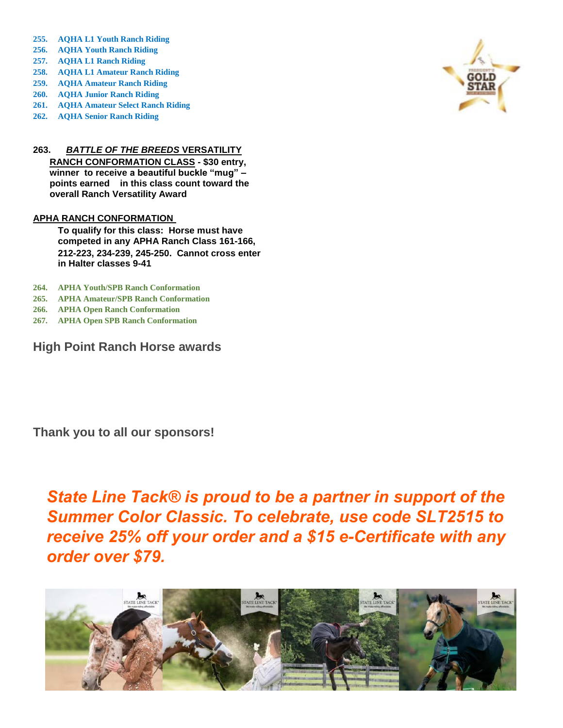- **255. AQHA L1 Youth Ranch Riding**
- **256. AQHA Youth Ranch Riding**
- **257. AQHA L1 Ranch Riding**
- **258. AQHA L1 Amateur Ranch Riding**
- **259. AQHA Amateur Ranch Riding**
- **260. AQHA Junior Ranch Riding**
- **261. AQHA Amateur Select Ranch Riding**
- **262. AQHA Senior Ranch Riding**

## **263.** *BATTLE OF THE BREEDS* **VERSATILITY**

**RANCH CONFORMATION CLASS - \$30 entry, winner to receive a beautiful buckle "mug" – points earned in this class count toward the overall Ranch Versatility Award**

## **APHA RANCH CONFORMATION**

**To qualify for this class: Horse must have competed in any APHA Ranch Class 161-166, 212-223, 234-239, 245-250. Cannot cross enter in Halter classes 9-41**

- **264. APHA Youth/SPB Ranch Conformation**
- **265. APHA Amateur/SPB Ranch Conformation**
- **266. APHA Open Ranch Conformation**
- **267. APHA Open SPB Ranch Conformation**

**High Point Ranch Horse awards**

**Thank you to all our sponsors!**

*State Line Tack® is proud to be a partner in support of the Summer Color Classic. To celebrate, use code SLT2515 to receive 25% off your order and a \$15 e-Certificate with any order over \$79.*



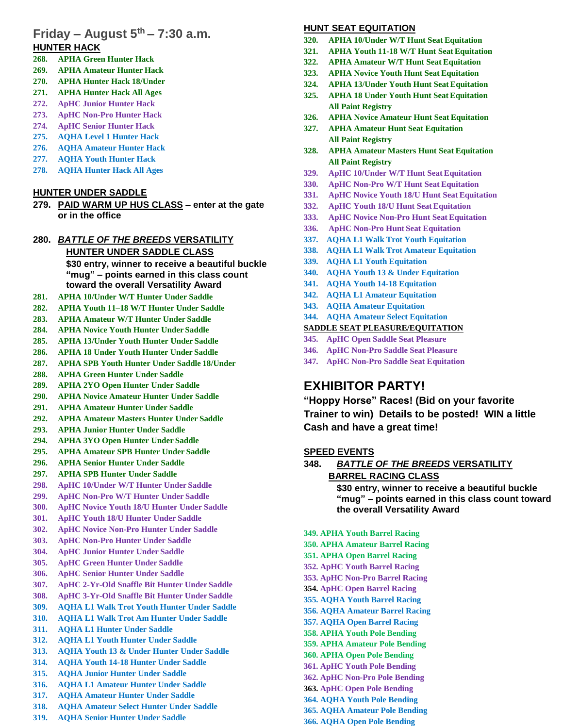## **Friday – August 5th – 7:30 a.m. HUNTER HACK**

- **268. APHA Green Hunter Hack**
- **269. APHA Amateur Hunter Hack**
- **270. APHA Hunter Hack 18/Under**
- **271. APHA Hunter Hack All Ages**
- **272. ApHC Junior Hunter Hack**
- **273. ApHC Non-Pro Hunter Hack**
- **274. ApHC Senior Hunter Hack**
- **275. AQHA Level 1 Hunter Hack**
- **276. AQHA Amateur Hunter Hack**
- **277. AQHA Youth Hunter Hack**
- **278. AQHA Hunter Hack All Ages**

## **HUNTER UNDER SADDLE**

**279. PAID WARM UP HUS CLASS – enter at the gate or in the office**

## **280.** *BATTLE OF THE BREEDS* **VERSATILITY HUNTER UNDER SADDLE CLASS \$30 entry, winner to receive a beautiful buckle "mug" – points earned in this class count toward the overall Versatility Award**

- **281. APHA 10/Under W/T Hunter Under Saddle**
- **282. APHA Youth 11–18 W/T Hunter Under Saddle**
- **283. APHA Amateur W/T Hunter Under Saddle**
- **284. APHA Novice Youth Hunter Under Saddle**
- **285. APHA 13/Under Youth Hunter Under Saddle**
- **286. APHA 18 Under Youth Hunter Under Saddle**
- **287. APHA SPB Youth Hunter Under Saddle 18/Under**
- **288. APHA Green Hunter Under Saddle**
- **289. APHA 2YO Open Hunter Under Saddle**
- **290. APHA Novice Amateur Hunter Under Saddle**
- **291. APHA Amateur Hunter Under Saddle**
- **292. APHA Amateur Masters Hunter Under Saddle**
- **293. APHA Junior Hunter Under Saddle**
- **294. APHA 3YO Open Hunter Under Saddle**
- **295. APHA Amateur SPB Hunter Under Saddle**
- **296. APHA Senior Hunter Under Saddle**
- **297. APHA SPB Hunter Under Saddle**
- **298. ApHC 10/Under W/T Hunter Under Saddle**
- **299. ApHC Non-Pro W/T Hunter Under Saddle**
- **300. ApHC Novice Youth 18/U Hunter Under Saddle**
- **301. ApHC Youth 18/U Hunter Under Saddle**
- **302. ApHC Novice Non-Pro Hunter Under Saddle**
- **303. ApHC Non-Pro Hunter Under Saddle**
- **304. ApHC Junior Hunter Under Saddle**
- **305. ApHC Green Hunter Under Saddle**
- **306. ApHC Senior Hunter Under Saddle**
- **307. ApHC 2-Yr-Old Snaffle Bit Hunter Under Saddle**
- **308. ApHC 3-Yr-Old Snaffle Bit Hunter Under Saddle**
- **309. AQHA L1 Walk Trot Youth Hunter Under Saddle**
- **310. AQHA L1 Walk Trot Am Hunter Under Saddle 311. AQHA L1 Hunter Under Saddle**
- **312. AQHA L1 Youth Hunter Under Saddle**
- **313. AQHA Youth 13 & Under Hunter Under Saddle**
- **314. AQHA Youth 14-18 Hunter Under Saddle**
- **315. AQHA Junior Hunter Under Saddle**
- **316. AQHA L1 Amateur Hunter Under Saddle**
- **317. AQHA Amateur Hunter Under Saddle**
- **318. AQHA Amateur Select Hunter Under Saddle**
- **319. AQHA Senior Hunter Under Saddle**

## **HUNT SEAT EQUITATION**

- **320. APHA 10/Under W/T Hunt Seat Equitation**
- **321. APHA Youth 11-18 W/T Hunt Seat Equitation**
- **322. APHA Amateur W/T Hunt Seat Equitation**
- **323. APHA Novice Youth Hunt Seat Equitation**
- **324. APHA 13/Under Youth Hunt Seat Equitation**
- **325. APHA 18 Under Youth Hunt Seat Equitation All Paint Registry**
- **326. APHA Novice Amateur Hunt Seat Equitation**
- **327. APHA Amateur Hunt Seat Equitation All Paint Registry**
- **328. APHA Amateur Masters Hunt Seat Equitation All Paint Registry**
- **329. ApHC 10/Under W/T Hunt Seat Equitation**
- **330. ApHC Non-Pro W/T Hunt Seat Equitation**
- **331. ApHC Novice Youth 18/U Hunt Seat Equitation**
- **332. ApHC Youth 18/U Hunt Seat Equitation**
- **333. ApHC Novice Non-Pro Hunt Seat Equitation**
- **336. ApHC Non-Pro Hunt Seat Equitation**
- **337. AQHA L1 Walk Trot Youth Equitation**
- **338. AQHA L1 Walk Trot Amateur Equitation**
- **339. AQHA L1 Youth Equitation**
- **340. AQHA Youth 13 & Under Equitation**
- **341. AQHA Youth 14-18 Equitation**
- **342. AQHA L1 Amateur Equitation**
- **343. AQHA Amateur Equitation**
- **344. AQHA Amateur Select Equitation**

## **SADDLE SEAT PLEASURE/EQUITATION**

- **345. ApHC Open Saddle Seat Pleasure**
- **346. ApHC Non-Pro Saddle Seat Pleasure**
- **347. ApHC Non-Pro Saddle Seat Equitation**

# **EXHIBITOR PARTY!**

**"Hoppy Horse" Races! (Bid on your favorite Trainer to win) Details to be posted! WIN a little Cash and have a great time!**

## **SPEED EVENTS**

- **348.** *BATTLE OF THE BREEDS* **VERSATILITY BARREL RACING CLASS \$30 entry, winner to receive a beautiful buckle "mug" – points earned in this class count toward the overall Versatility Award 349. APHA Youth Barrel Racing 350. APHA Amateur Barrel Racing**
- **351. APHA Open Barrel Racing 352. ApHC Youth Barrel Racing 353. ApHC Non-Pro Barrel Racing 354. ApHC Open Barrel Racing 355. AQHA Youth Barrel Racing 356. AQHA Amateur Barrel Racing 357. AQHA Open Barrel Racing 358. APHA Youth Pole Bending 359. APHA Amateur Pole Bending 360. APHA Open Pole Bending 361. ApHC Youth Pole Bending 362. ApHC Non-Pro Pole Bending 363. ApHC Open Pole Bending**
- **364. AQHA Youth Pole Bending 365. AQHA Amateur Pole Bending**
- **366. AQHA Open Pole Bending**